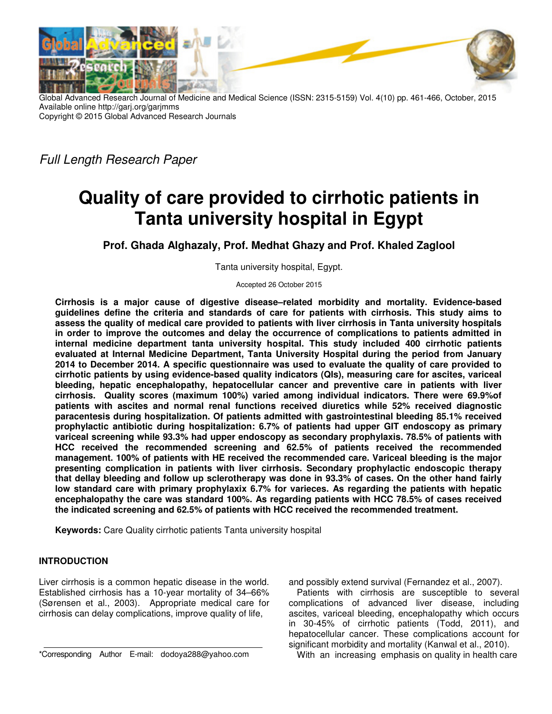

Global Advanced Research Journal of Medicine and Medical Science (ISSN: 2315-5159) Vol. 4(10) pp. 461-466, October, 2015 Available online http://garj.org/garjmms Copyright © 2015 Global Advanced Research Journals

*Full Length Research Paper*

# **Quality of care provided to cirrhotic patients in Tanta university hospital in Egypt**

**Prof. Ghada Alghazaly, Prof. Medhat Ghazy and Prof. Khaled Zaglool** 

Tanta university hospital, Egypt.

Accepted 26 October 2015

**Cirrhosis is a major cause of digestive disease–related morbidity and mortality. Evidence-based guidelines define the criteria and standards of care for patients with cirrhosis. This study aims to assess the quality of medical care provided to patients with liver cirrhosis in Tanta university hospitals in order to improve the outcomes and delay the occurrence of complications to patients admitted in internal medicine department tanta university hospital. This study included 400 cirrhotic patients evaluated at Internal Medicine Department, Tanta University Hospital during the period from January 2014 to December 2014. A specific questionnaire was used to evaluate the quality of care provided to cirrhotic patients by using evidence-based quality indicators (QIs), measuring care for ascites, variceal bleeding, hepatic encephalopathy, hepatocellular cancer and preventive care in patients with liver cirrhosis. Quality scores (maximum 100%) varied among individual indicators. There were 69.9%of patients with ascites and normal renal functions received diuretics while 52% received diagnostic paracentesis during hospitalization. Of patients admitted with gastrointestinal bleeding 85.1% received prophylactic antibiotic during hospitalization: 6.7% of patients had upper GIT endoscopy as primary variceal screening while 93.3% had upper endoscopy as secondary prophylaxis. 78.5% of patients with HCC received the recommended screening and 62.5% of patients received the recommended management. 100% of patients with HE received the recommended care. Variceal bleeding is the major presenting complication in patients with liver cirrhosis. Secondary prophylactic endoscopic therapy that dellay bleeding and follow up sclerotherapy was done in 93.3% of cases. On the other hand fairly low standard care with primary prophylaxix 6.7% for varieces. As regarding the patients with hepatic encephalopathy the care was standard 100%. As regarding patients with HCC 78.5% of cases received the indicated screening and 62.5% of patients with HCC received the recommended treatment.** 

**Keywords:** Care Quality cirrhotic patients Tanta university hospital

## **INTRODUCTION**

Liver cirrhosis is a common hepatic disease in the world. Established cirrhosis has a 10-year mortality of 34–66% (Sørensen et al., 2003). Appropriate medical care for cirrhosis can delay complications, improve quality of life,

\*Corresponding Author E-mail: dodoya288@yahoo.com

and possibly extend survival (Fernandez et al., 2007).

Patients with cirrhosis are susceptible to several complications of advanced liver disease, including ascites, variceal bleeding, encephalopathy which occurs in 30-45% of cirrhotic patients (Todd, 2011), and hepatocellular cancer. These complications account for significant morbidity and mortality (Kanwal et al., 2010).

With an increasing emphasis on quality in health care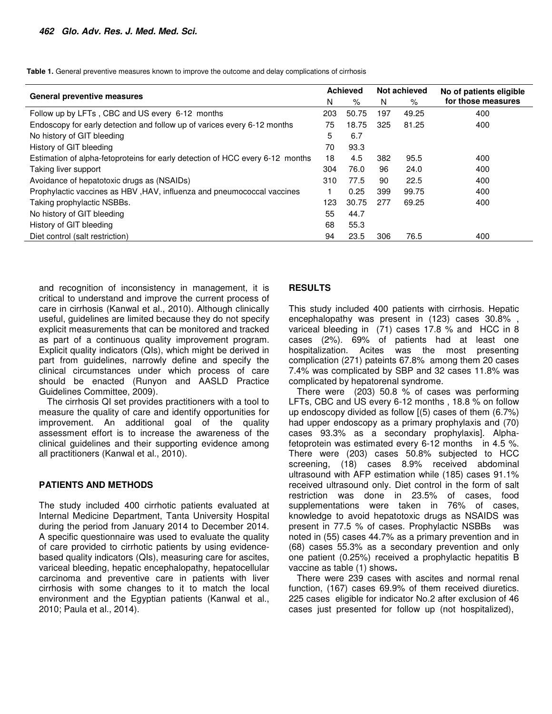**Table 1.** General preventive measures known to improve the outcome and delay complications of cirrhosis

| <b>General preventive measures</b>                                            |     | <b>Achieved</b> |     | Not achieved | No of patients eligible |  |
|-------------------------------------------------------------------------------|-----|-----------------|-----|--------------|-------------------------|--|
|                                                                               |     | %               | N   | %            | for those measures      |  |
| Follow up by LFTs, CBC and US every 6-12 months                               | 203 | 50.75           | 197 | 49.25        | 400                     |  |
| Endoscopy for early detection and follow up of varices every 6-12 months      | 75  | 18.75           | 325 | 81.25        | 400                     |  |
| No history of GIT bleeding                                                    | 5   | 6.7             |     |              |                         |  |
| History of GIT bleeding                                                       | 70  | 93.3            |     |              |                         |  |
| Estimation of alpha-fetoproteins for early detection of HCC every 6-12 months | 18  | 4.5             | 382 | 95.5         | 400                     |  |
| Taking liver support                                                          | 304 | 76.0            | 96  | 24.0         | 400                     |  |
| Avoidance of hepatotoxic drugs as (NSAIDs)                                    | 310 | 77.5            | 90  | 22.5         | 400                     |  |
| Prophylactic vaccines as HBV, HAV, influenza and pneumococcal vaccines        |     | 0.25            | 399 | 99.75        | 400                     |  |
| Taking prophylactic NSBBs.                                                    | 123 | 30.75           | 277 | 69.25        | 400                     |  |
| No history of GIT bleeding                                                    | 55  | 44.7            |     |              |                         |  |
| History of GIT bleeding                                                       | 68  | 55.3            |     |              |                         |  |
| Diet control (salt restriction)                                               | 94  | 23.5            | 306 | 76.5         | 400                     |  |

and recognition of inconsistency in management, it is critical to understand and improve the current process of care in cirrhosis (Kanwal et al., 2010). Although clinically useful, guidelines are limited because they do not specify explicit measurements that can be monitored and tracked as part of a continuous quality improvement program. Explicit quality indicators (QIs), which might be derived in part from guidelines, narrowly define and specify the clinical circumstances under which process of care should be enacted (Runyon and AASLD Practice Guidelines Committee, 2009).

The cirrhosis QI set provides practitioners with a tool to measure the quality of care and identify opportunities for improvement. An additional goal of the quality assessment effort is to increase the awareness of the clinical guidelines and their supporting evidence among all practitioners (Kanwal et al., 2010).

#### **PATIENTS AND METHODS**

The study included 400 cirrhotic patients evaluated at Internal Medicine Department, Tanta University Hospital during the period from January 2014 to December 2014. A specific questionnaire was used to evaluate the quality of care provided to cirrhotic patients by using evidencebased quality indicators (QIs), measuring care for ascites, variceal bleeding, hepatic encephalopathy, hepatocellular carcinoma and preventive care in patients with liver cirrhosis with some changes to it to match the local environment and the Egyptian patients (Kanwal et al., 2010; Paula et al., 2014).

### **RESULTS**

This study included 400 patients with cirrhosis. Hepatic encephalopathy was present in (123) cases 30.8% , variceal bleeding in (71) cases 17.8 % and HCC in 8 cases (2%). 69% of patients had at least one hospitalization. Acites was the most presenting complication (271) pateints 67.8% among them 20 cases 7.4% was complicated by SBP and 32 cases 11.8% was complicated by hepatorenal syndrome.

There were (203) 50.8 % of cases was performing LFTs, CBC and US every 6-12 months , 18.8 % on follow up endoscopy divided as follow [(5) cases of them (6.7%) had upper endoscopy as a primary prophylaxis and (70) cases 93.3% as a secondary prophylaxis]. Alphafetoprotein was estimated every 6-12 months in 4.5 %. There were (203) cases 50.8% subjected to HCC screening, (18) cases 8.9% received abdominal ultrasound with AFP estimation while (185) cases 91.1% received ultrasound only. Diet control in the form of salt restriction was done in 23.5% of cases, food supplementations were taken in 76% of cases, knowledge to avoid hepatotoxic drugs as NSAIDS was present in 77.5 % of cases. Prophylactic NSBBs was noted in (55) cases 44.7% as a primary prevention and in (68) cases 55.3% as a secondary prevention and only one patient (0.25%) received a prophylactic hepatitis B vaccine as table (1) shows**.** 

There were 239 cases with ascites and normal renal function, (167) cases 69.9% of them received diuretics. 225 cases eligible for indicator No.2 after exclusion of 46 cases just presented for follow up (not hospitalized),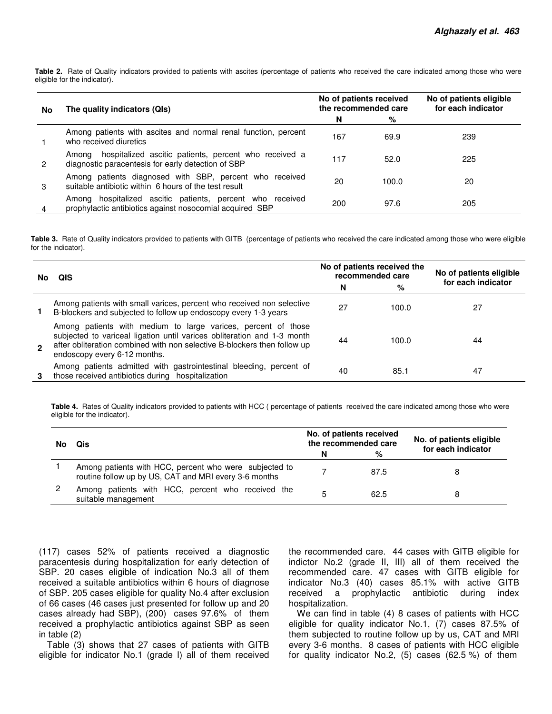**Table 2.** Rate of Quality indicators provided to patients with ascites (percentage of patients who received the care indicated among those who were eligible for the indicator).

| No | The quality indicators (QIs)                                                                                          |     | No of patients received<br>the recommended care | No of patients eligible<br>for each indicator |  |  |
|----|-----------------------------------------------------------------------------------------------------------------------|-----|-------------------------------------------------|-----------------------------------------------|--|--|
|    |                                                                                                                       | N   | %                                               |                                               |  |  |
|    | Among patients with ascites and normal renal function, percent<br>who received diuretics                              | 167 | 69.9                                            | 239                                           |  |  |
| 2  | hospitalized ascitic patients, percent who received a<br>Amona<br>diagnostic paracentesis for early detection of SBP  | 117 | 52.0                                            | 225                                           |  |  |
| З  | Among patients diagnosed with SBP, percent who received<br>suitable antibiotic within 6 hours of the test result      | 20  | 100.0                                           | 20                                            |  |  |
| 4  | Among hospitalized ascitic patients, percent who received<br>prophylactic antibiotics against nosocomial acquired SBP | 200 | 97.6                                            | 205                                           |  |  |

**Table 3.** Rate of Quality indicators provided to patients with GITB (percentage of patients who received the care indicated among those who were eligible for the indicator).

| No             | QIS                                                                                                                                                                                                                                                  |           | No of patients received the<br>recommended care | No of patients eligible |  |
|----------------|------------------------------------------------------------------------------------------------------------------------------------------------------------------------------------------------------------------------------------------------------|-----------|-------------------------------------------------|-------------------------|--|
|                |                                                                                                                                                                                                                                                      | $\%$<br>N |                                                 | for each indicator      |  |
|                | Among patients with small varices, percent who received non selective<br>B-blockers and subjected to follow up endoscopy every 1-3 years                                                                                                             | 27        | 100.0                                           | 27                      |  |
| $\mathfrak{p}$ | Among patients with medium to large varices, percent of those<br>subjected to variceal ligation until varices obliteration and 1-3 month<br>after obliteration combined with non selective B-blockers then follow up<br>endoscopy every 6-12 months. | 44        | 100.0                                           | 44                      |  |
|                | Among patients admitted with gastrointestinal bleeding, percent of<br>those received antibiotics during hospitalization                                                                                                                              | 40        | 85.1                                            | 47                      |  |

**Table 4.** Rates of Quality indicators provided to patients with HCC ( percentage of patients received the care indicated among those who were eligible for the indicator).

| No. | Qis                                                                                                             |   | No. of patients received<br>the recommended care | No. of patients eligible |  |  |
|-----|-----------------------------------------------------------------------------------------------------------------|---|--------------------------------------------------|--------------------------|--|--|
|     |                                                                                                                 | N | %                                                | for each indicator       |  |  |
|     | Among patients with HCC, percent who were subjected to<br>routine follow up by US, CAT and MRI every 3-6 months |   | 87.5                                             |                          |  |  |
|     | Among patients with HCC, percent who received the<br>suitable management                                        |   | 62.5                                             |                          |  |  |

(117) cases 52% of patients received a diagnostic paracentesis during hospitalization for early detection of SBP. 20 cases eligible of indication No.3 all of them received a suitable antibiotics within 6 hours of diagnose of SBP. 205 cases eligible for quality No.4 after exclusion of 66 cases (46 cases just presented for follow up and 20 cases already had SBP), (200) cases 97.6% of them received a prophylactic antibiotics against SBP as seen in table (2)

Table (3) shows that 27 cases of patients with GITB eligible for indicator No.1 (grade I) all of them received

the recommended care. 44 cases with GITB eligible for indictor No.2 (grade II, III) all of them received the recommended care. 47 cases with GITB eligible for indicator No.3 (40) cases 85.1% with active GITB received a prophylactic antibiotic during index hospitalization.

We can find in table (4) 8 cases of patients with HCC eligible for quality indicator No.1, (7) cases 87.5% of them subjected to routine follow up by us, CAT and MRI every 3-6 months. 8 cases of patients with HCC eligible for quality indicator No.2, (5) cases (62.5 %) of them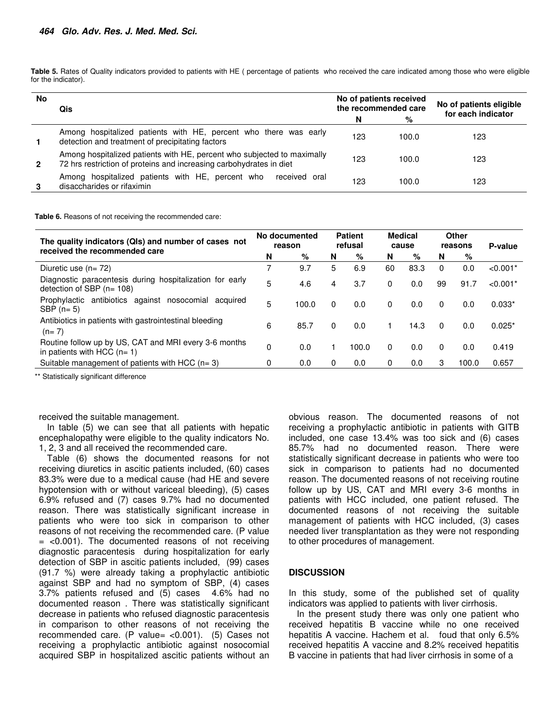**Table 5.** Rates of Quality indicators provided to patients with HE ( percentage of patients who received the care indicated among those who were eligible for the indicator).

| <b>No</b> | Qis                                                                                                                                            | No of patients received<br>the recommended care |       | No of patients eligible<br>for each indicator |  |  |  |
|-----------|------------------------------------------------------------------------------------------------------------------------------------------------|-------------------------------------------------|-------|-----------------------------------------------|--|--|--|
|           |                                                                                                                                                | N                                               | %     |                                               |  |  |  |
|           | Among hospitalized patients with HE, percent who there was early<br>detection and treatment of precipitating factors                           | 123                                             | 100.0 | 123                                           |  |  |  |
| 2         | Among hospitalized patients with HE, percent who subjected to maximally<br>72 hrs restriction of proteins and increasing carbohydrates in diet | 123                                             | 100.0 | 123                                           |  |  |  |
|           | Among hospitalized patients with HE, percent who<br>received oral<br>disaccharides or rifaximin                                                | 123                                             | 100.0 | 123                                           |  |  |  |

**Table 6.** Reasons of not receiving the recommended care:

| The quality indicators (QIs) and number of cases not<br>received the recommended care  |   | No documented<br>reason |          | <b>Patient</b><br>refusal |    | <b>Medical</b><br>cause |          | Other<br>reasons | P-value    |
|----------------------------------------------------------------------------------------|---|-------------------------|----------|---------------------------|----|-------------------------|----------|------------------|------------|
|                                                                                        |   | %                       | N        | %                         | N  | %                       | N        | %                |            |
| Diuretic use $(n=72)$                                                                  |   | 9.7                     | 5        | 6.9                       | 60 | 83.3                    | $\Omega$ | 0.0              | $< 0.001*$ |
| Diagnostic paracentesis during hospitalization for early<br>detection of SBP $(n=108)$ | 5 | 4.6                     | 4        | 3.7                       | 0  | 0.0                     | 99       | 91.7             | $< 0.001*$ |
| Prophylactic antibiotics against nosocomial<br>acquired<br>SBP $(n=5)$                 | 5 | 100.0                   | $\Omega$ | 0.0                       | 0  | 0.0                     | $\Omega$ | 0.0              | $0.033*$   |
| Antibiotics in patients with gastrointestinal bleeding<br>$(n=7)$                      | 6 | 85.7                    | $\Omega$ | 0.0                       |    | 14.3                    | $\Omega$ | 0.0              | $0.025*$   |
| Routine follow up by US, CAT and MRI every 3-6 months<br>in patients with HCC $(n=1)$  | 0 | 0.0                     |          | 100.0                     | 0  | 0.0                     | $\Omega$ | 0.0              | 0.419      |
| Suitable management of patients with HCC $(n=3)$                                       | 0 | 0.0                     | 0        | 0.0                       | 0  | 0.0                     | 3        | 100.0            | 0.657      |

\*\* Statistically significant difference

received the suitable management.

In table (5) we can see that all patients with hepatic encephalopathy were eligible to the quality indicators No. 1, 2, 3 and all received the recommended care.

Table (6) shows the documented reasons for not receiving diuretics in ascitic patients included, (60) cases 83.3% were due to a medical cause (had HE and severe hypotension with or without variceal bleeding), (5) cases 6.9% refused and (7) cases 9.7% had no documented reason. There was statistically significant increase in patients who were too sick in comparison to other reasons of not receiving the recommended care. (P value  $=$  <0.001). The documented reasons of not receiving diagnostic paracentesis during hospitalization for early detection of SBP in ascitic patients included, (99) cases (91.7 %) were already taking a prophylactic antibiotic against SBP and had no symptom of SBP, (4) cases 3.7% patients refused and (5) cases 4.6% had no documented reason . There was statistically significant decrease in patients who refused diagnostic paracentesis in comparison to other reasons of not receiving the recommended care. (P value= <0.001). (5) Cases not receiving a prophylactic antibiotic against nosocomial acquired SBP in hospitalized ascitic patients without an

obvious reason. The documented reasons of not receiving a prophylactic antibiotic in patients with GITB included, one case 13.4% was too sick and (6) cases 85.7% had no documented reason. There were statistically significant decrease in patients who were too sick in comparison to patients had no documented reason. The documented reasons of not receiving routine follow up by US, CAT and MRI every 3-6 months in patients with HCC included, one patient refused. The documented reasons of not receiving the suitable management of patients with HCC included, (3) cases needed liver transplantation as they were not responding to other procedures of management.

#### **DISCUSSION**

In this study, some of the published set of quality indicators was applied to patients with liver cirrhosis.

In the present study there was only one patient who received hepatitis B vaccine while no one received hepatitis A vaccine. Hachem et al. foud that only 6.5% received hepatitis A vaccine and 8.2% received hepatitis B vaccine in patients that had liver cirrhosis in some of a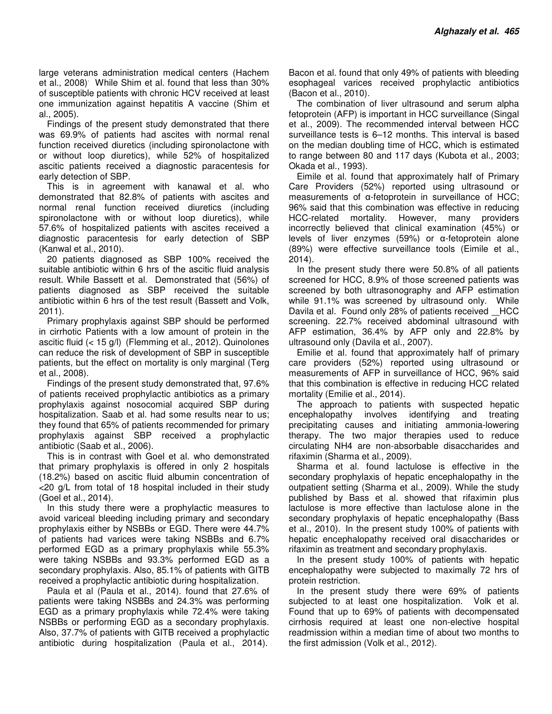large veterans administration medical centers (Hachem et al., 2008). While Shim et al. found that less than 30% of susceptible patients with chronic HCV received at least one immunization against hepatitis A vaccine (Shim et al., 2005).

Findings of the present study demonstrated that there was 69.9% of patients had ascites with normal renal function received diuretics (including spironolactone with or without loop diuretics), while 52% of hospitalized ascitic patients received a diagnostic paracentesis for early detection of SBP.

This is in agreement with kanawal et al. who demonstrated that 82.8% of patients with ascites and normal renal function received diuretics (including spironolactone with or without loop diuretics), while 57.6% of hospitalized patients with ascites received a diagnostic paracentesis for early detection of SBP (Kanwal et al., 2010).

20 patients diagnosed as SBP 100% received the suitable antibiotic within 6 hrs of the ascitic fluid analysis result. While Bassett et al. Demonstrated that (56%) of patients diagnosed as SBP received the suitable antibiotic within 6 hrs of the test result (Bassett and Volk, 2011).

Primary prophylaxis against SBP should be performed in cirrhotic Patients with a low amount of protein in the ascitic fluid (< 15 g/l) (Flemming et al., 2012). Quinolones can reduce the risk of development of SBP in susceptible patients, but the effect on mortality is only marginal (Terg et al., 2008).

Findings of the present study demonstrated that, 97.6% of patients received prophylactic antibiotics as a primary prophylaxis against nosocomial acquired SBP during hospitalization. Saab et al. had some results near to us; they found that 65% of patients recommended for primary prophylaxis against SBP received a prophylactic antibiotic (Saab et al., 2006).

This is in contrast with Goel et al. who demonstrated that primary prophylaxis is offered in only 2 hospitals (18.2%) based on ascitic fluid albumin concentration of <20 g/L from total of 18 hospital included in their study (Goel et al., 2014).

In this study there were a prophylactic measures to avoid variceal bleeding including primary and secondary prophylaxis either by NSBBs or EGD. There were 44.7% of patients had varices were taking NSBBs and 6.7% performed EGD as a primary prophylaxis while 55.3% were taking NSBBs and 93.3% performed EGD as a secondary prophylaxis. Also, 85.1% of patients with GITB received a prophylactic antibiotic during hospitalization.

Paula et al (Paula et al., 2014). found that 27.6% of patients were taking NSBBs and 24.3% was performing EGD as a primary prophylaxis while 72.4% were taking NSBBs or performing EGD as a secondary prophylaxis. Also, 37.7% of patients with GITB received a prophylactic antibiotic during hospitalization (Paula et al., 2014).

Bacon et al. found that only 49% of patients with bleeding esophageal varices received prophylactic antibiotics (Bacon et al., 2010).

The combination of liver ultrasound and serum alpha fetoprotein (AFP) is important in HCC surveillance (Singal et al., 2009). The recommended interval between HCC surveillance tests is 6–12 months. This interval is based on the median doubling time of HCC, which is estimated to range between 80 and 117 days (Kubota et al., 2003; Okada et al., 1993).

Eimile et al. found that approximately half of Primary Care Providers (52%) reported using ultrasound or measurements of α-fetoprotein in surveillance of HCC; 96% said that this combination was effective in reducing HCC-related mortality. However, many providers incorrectly believed that clinical examination (45%) or levels of liver enzymes (59%) or α-fetoprotein alone (89%) were effective surveillance tools (Eimile et al., 2014).

In the present study there were 50.8% of all patients screened for HCC, 8.9% of those screened patients was screened by both ultrasonography and AFP estimation while 91.1% was screened by ultrasound only. While Davila et al. Found only 28% of patients received HCC screening. 22.7% received abdominal ultrasound with AFP estimation, 36.4% by AFP only and 22.8% by ultrasound only (Davila et al., 2007).

Emilie et al. found that approximately half of primary care providers (52%) reported using ultrasound or measurements of AFP in surveillance of HCC, 96% said that this combination is effective in reducing HCC related mortality (Emilie et al., 2014).

The approach to patients with suspected hepatic encephalopathy involves identifying and treating precipitating causes and initiating ammonia-lowering therapy. The two major therapies used to reduce circulating NH4 are non-absorbable disaccharides and rifaximin (Sharma et al., 2009).

Sharma et al. found lactulose is effective in the secondary prophylaxis of hepatic encephalopathy in the outpatient setting (Sharma et al., 2009). While the study published by Bass et al. showed that rifaximin plus lactulose is more effective than lactulose alone in the secondary prophylaxis of hepatic encephalopathy (Bass et al., 2010). In the present study 100% of patients with hepatic encephalopathy received oral disaccharides or rifaximin as treatment and secondary prophylaxis.

In the present study 100% of patients with hepatic encephalopathy were subjected to maximally 72 hrs of protein restriction.

In the present study there were 69% of patients subjected to at least one hospitalization. Volk et al. Found that up to 69% of patients with decompensated cirrhosis required at least one non-elective hospital readmission within a median time of about two months to the first admission (Volk et al., 2012).